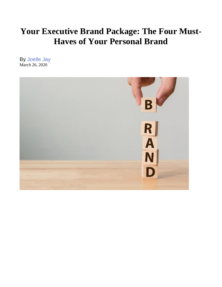# **Your Executive Brand Package: The Four Must-Haves of Your Personal Brand**

By Joelle Jay March 26, 2020

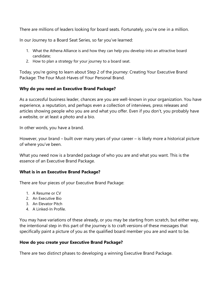There are millions of leaders looking for board seats. Fortunately, you're one in a million.

In our Journey to a Board Seat Series, so far you've learned:

- 1. What the Athena Alliance is and how they can help you develop into an attractive board candidate;
- 2. How to plan a strategy for your journey to a board seat.

Today, you're going to learn about Step 2 of the journey: Creating Your Executive Brand Package: The Four Must-Haves of Your Personal Brand.

## **Why do you need an Executive Brand Package?**

As a successful business leader, chances are you are well-known in your organization. You have experience, a reputation, and perhaps even a collection of interviews, press releases and articles showing people who you are and what you offer. Even if you don't, you probably have a website, or at least a photo and a bio.

In other words, you have a brand.

However, your brand – built over many years of your career – is likely more a historical picture of where you've been.

What you need now is a branded package of who you are and what you want. This is the essence of an Executive Brand Package.

## **What is in an Executive Brand Package?**

There are four pieces of your Executive Brand Package:

- 1. A Resume or CV
- 2. An Executive Bio
- 3. An Elevator Pitch
- 4. A Linked-In Profile.

You may have variations of these already, or you may be starting from scratch, but either way, the intentional step in this part of the journey is to craft versions of these messages that specifically paint a picture of you as the qualified board member you are and want to be.

## **How do you create your Executive Brand Package?**

There are two distinct phases to developing a winning Executive Brand Package.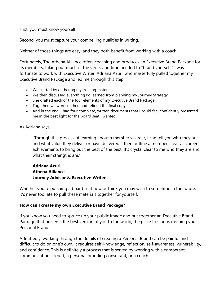First, you must know yourself.

Second, you must capture your compelling qualities in writing.

Neither of those things are easy, and they both benefit from working with a coach.

Fortunately, The Athena Alliance offers coaching and produces an Executive Brand Package for its members, taking out much of the stress and time needed to "brand yourself." I was fortunate to work with Executive Writer, Adriana Azuri, who masterfully pulled together my Executive Brand Package and led me through this step.

- We started by gathering my existing materials.
- We then discussed everything I'd learned from planning my Journey Strategy.
- She drafted each of the four elements of my Executive Brand Package.
- Together, we wordsmithed and refined the final copy.
- And in the end, I had four complete, written documents that I could feel confidently presented me in the best light for the board seat I wanted.

#### As Adriana says,

"Through this process of learning about a member's career, I can tell you who they are and what value they deliver or have delivered. I then outline a member's overall career achievements to bring out the best of the best. It's crystal clear to me who they are and what their strengths are."

## **Adriana Azuri Athena Alliance Journey Advisor & Executive Writer**

Whether you're pursuing a board seat now or think you may wish to sometime in the future, it's never too late to pull these materials together for yourself.

## **How can I create my own Executive Brand Package?**

If you know you need to spruce up your public image and put together an Executive Brand Package that presents the best version of you to the world, the place to start is defining your Personal Brand.

Admittedly, working through the details of creating a Personal Brand can be painful and difficult to do on one's own. It requires self-knowledge, reflection, self-awareness, vulnerability, and confidence. This is definitely a process that is served by working with a competent communications expert, a personal branding consultant, or a coach.